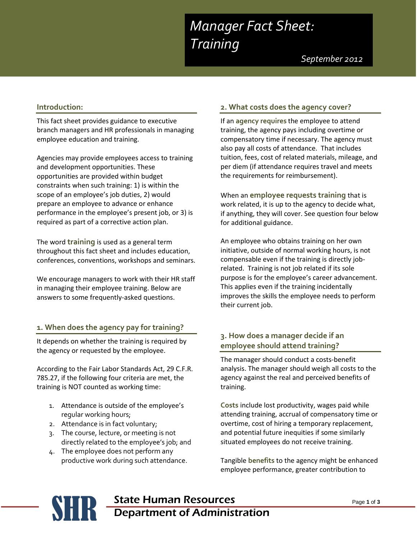# *Manager Fact Sheet: Training*

 *September 2012*

#### **Introduction:**

This fact sheet provides guidance to executive branch managers and HR professionals in managing employee education and training.

Agencies may provide employees access to training and development opportunities. These opportunities are provided within budget constraints when such training: 1) is within the scope of an employee's job duties, 2) would prepare an employee to advance or enhance performance in the employee's present job, or 3) is required as part of a corrective action plan.

The word **training** is used as a general term throughout this fact sheet and includes education, conferences, conventions, workshops and seminars.

We encourage managers to work with their HR staff in managing their employee training. Below are answers to some frequently-asked questions.

#### **1. When does the agency pay for training?**

It depends on whether the training is required by the agency or requested by the employee.

According to the Fair Labor Standards Act, 29 C.F.R. 785.27, if the following four criteria are met, the training is NOT counted as working time:

- 1. Attendance is outside of the employee's regular working hours;
- 2. Attendance is in fact voluntary;
- 3. The course, lecture, or meeting is not directly related to the employee's job; and
- 4. The employee does not perform any productive work during such attendance.

### **2. What costs does the agency cover?**

If an **agency requires** the employee to attend training, the agency pays including overtime or compensatory time if necessary. The agency must also pay all costs of attendance. That includes tuition, fees, cost of related materials, mileage, and per diem (if attendance requires travel and meets the requirements for reimbursement).

When an **employee requests training** that is work related, it is up to the agency to decide what, if anything, they will cover. See question four below for additional guidance.

An employee who obtains training on her own initiative, outside of normal working hours, is not compensable even if the training is directly jobrelated. Training is not job related if its sole purpose is for the employee's career advancement. This applies even if the training incidentally improves the skills the employee needs to perform their current job.

#### **3. How does a manager decide if an employee should attend training?**

The manager should conduct a costs-benefit analysis. The manager should weigh all costs to the agency against the real and perceived benefits of training.

**Costs** include lost productivity, wages paid while attending training, accrual of compensatory time or overtime, cost of hiring a temporary replacement, and potential future inequities if some similarly situated employees do not receive training.

Tangible **benefits** to the agency might be enhanced employee performance, greater contribution to

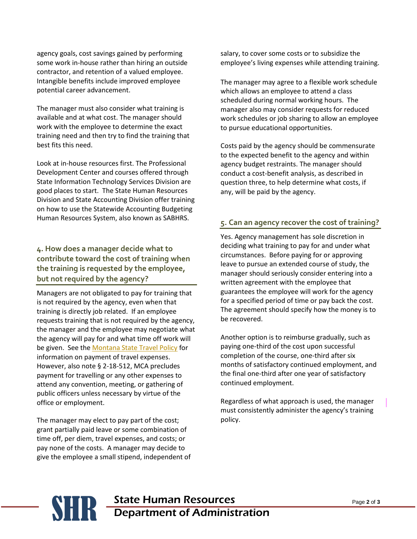agency goals, cost savings gained by performing some work in-house rather than hiring an outside contractor, and retention of a valued employee. Intangible benefits include improved employee potential career advancement.

The manager must also consider what training is available and at what cost. The manager should work with the employee to determine the exact training need and then try to find the training that best fits this need.

Look at in-house resources first. The Professional Development Center and courses offered through State Information Technology Services Division are good places to start. The State Human Resources Division and State Accounting Division offer training on how to use the Statewide Accounting Budgeting Human Resources System, also known as SABHRS.

# **4. How does a manager decide what to contribute toward the cost of training when the training is requested by the employee, but not required by the agency?**

Managers are not obligated to pay for training that is not required by the agency, even when that training is directly job related. If an employee requests training that is not required by the agency, the manager and the employee may negotiate what the agency will pay for and what time off work will be given. See the [Montana State Travel Policy](http://doa.mt.gov/doatravel/default.aspx) for information on payment of travel expenses. However, also note § 2-18-512, MCA precludes payment for travelling or any other expenses to attend any convention, meeting, or gathering of public officers unless necessary by virtue of the office or employment.

The manager may elect to pay part of the cost; grant partially paid leave or some combination of time off, per diem, travel expenses, and costs; or pay none of the costs. A manager may decide to give the employee a small stipend, independent of salary, to cover some costs or to subsidize the employee's living expenses while attending training.

The manager may agree to a flexible work schedule which allows an employee to attend a class scheduled during normal working hours. The manager also may consider requests for reduced work schedules or job sharing to allow an employee to pursue educational opportunities.

Costs paid by the agency should be commensurate to the expected benefit to the agency and within agency budget restraints. The manager should conduct a cost-benefit analysis, as described in question three, to help determine what costs, if any, will be paid by the agency.

## **5. Can an agency recover the cost of training?**

Yes. Agency management has sole discretion in deciding what training to pay for and under what circumstances. Before paying for or approving leave to pursue an extended course of study, the manager should seriously consider entering into a written agreement with the employee that guarantees the employee will work for the agency for a specified period of time or pay back the cost. The agreement should specify how the money is to be recovered.

Another option is to reimburse gradually, such as paying one-third of the cost upon successful completion of the course, one-third after six months of satisfactory continued employment, and the final one-third after one year of satisfactory continued employment.

Regardless of what approach is used, the manager must consistently administer the agency's training policy.